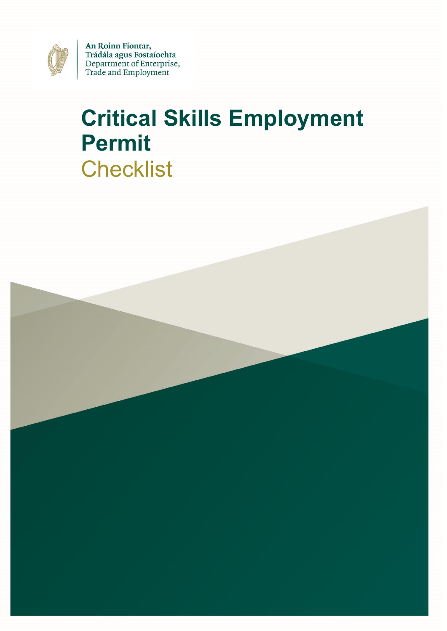

An Roinn Fiontar, Trádála agus Fostaíochta Department of Enterprise, Trade and Employment

# **Critical Skills Employment Permit Checklist**

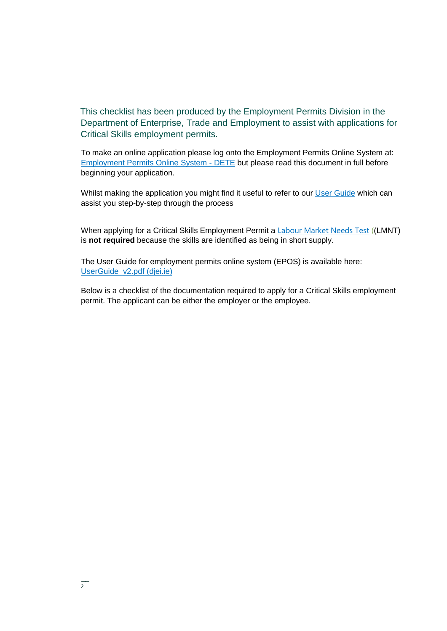This checklist has been produced by the Employment Permits Division in the Department of Enterprise, Trade and Employment to assist with applications for Critical Skills employment permits.

To make an online application please log onto the Employment Permits Online System at: [Employment Permits Online System -](https://epos.djei.ie/EPOSOnlineportal#/app/welcome) DETE but please read this document in full before beginning your application.

Whilst making the application you might find it useful to refer to our [User Guide](https://epos.djei.ie/EPOSOnlinePortal/UserGuide_v2.pdf) which can assist you step-by-step through the process

When applying for a Critical Skills Employment Permit a [Labour Market Needs Test](https://enterprise.gov.ie/en/What-We-Do/Workplace-and-Skills/Employment-Permits/Employment-Permit-Eligibility/Labour-Market-Needs-Test/) ((LMNT) is **not required** because the skills are identified as being in short supply.

The User Guide for employment permits online system (EPOS) is available here: [UserGuide\\_v2.pdf \(djei.ie\)](https://epos.djei.ie/EPOSOnlinePortal/UserGuide_v2.pdf)

Below is a checklist of the documentation required to apply for a Critical Skills employment permit. The applicant can be either the employer or the employee.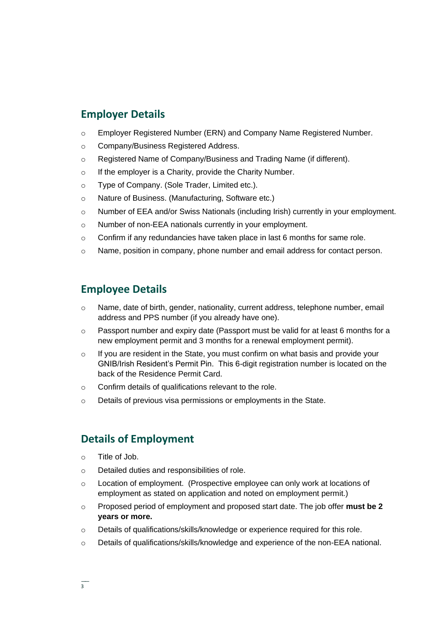#### **Employer Details**

- o Employer Registered Number (ERN) and Company Name Registered Number.
- o Company/Business Registered Address.
- o Registered Name of Company/Business and Trading Name (if different).
- $\circ$  If the employer is a Charity, provide the Charity Number.
- o Type of Company. (Sole Trader, Limited etc.).
- o Nature of Business. (Manufacturing, Software etc.)
- o Number of EEA and/or Swiss Nationals (including Irish) currently in your employment.
- o Number of non-EEA nationals currently in your employment.
- $\circ$  Confirm if any redundancies have taken place in last 6 months for same role.
- o Name, position in company, phone number and email address for contact person.

### **Employee Details**

- o Name, date of birth, gender, nationality, current address, telephone number, email address and PPS number (if you already have one).
- o Passport number and expiry date (Passport must be valid for at least 6 months for a new employment permit and 3 months for a renewal employment permit).
- $\circ$  If you are resident in the State, you must confirm on what basis and provide your GNIB/Irish Resident's Permit Pin. This 6-digit registration number is located on the back of the Residence Permit Card.
- o Confirm details of qualifications relevant to the role.
- o Details of previous visa permissions or employments in the State.

#### **Details of Employment**

- $\circ$  Title of Job.
- o Detailed duties and responsibilities of role.
- $\circ$  Location of employment. (Prospective employee can only work at locations of employment as stated on application and noted on employment permit.)
- o Proposed period of employment and proposed start date. The job offer **must be 2 years or more.**
- o Details of qualifications/skills/knowledge or experience required for this role.
- o Details of qualifications/skills/knowledge and experience of the non-EEA national.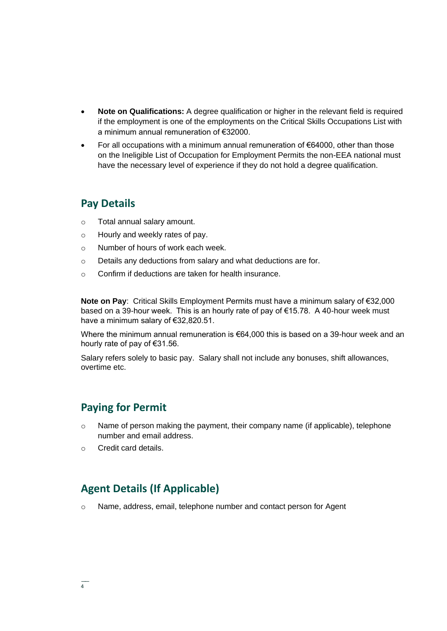- **Note on Qualifications:** A degree qualification or higher in the relevant field is required if the employment is one of the employments on the Critical Skills Occupations List with a minimum annual remuneration of €32000.
- For all occupations with a minimum annual remuneration of  $€64000$ , other than those on the Ineligible List of Occupation for Employment Permits the non-EEA national must have the necessary level of experience if they do not hold a degree qualification.

#### **Pay Details**

- o Total annual salary amount.
- o Hourly and weekly rates of pay.
- o Number of hours of work each week.
- o Details any deductions from salary and what deductions are for.
- o Confirm if deductions are taken for health insurance.

**Note on Pay**: Critical Skills Employment Permits must have a minimum salary of €32,000 based on a 39-hour week. This is an hourly rate of pay of €15.78. A 40-hour week must have a minimum salary of €32,820.51.

Where the minimum annual remuneration is €64,000 this is based on a 39-hour week and an hourly rate of pay of €31.56.

Salary refers solely to basic pay. Salary shall not include any bonuses, shift allowances, overtime etc.

#### **Paying for Permit**

- $\circ$  Name of person making the payment, their company name (if applicable), telephone number and email address.
- o Credit card details.

### **Agent Details (If Applicable)**

o Name, address, email, telephone number and contact person for Agent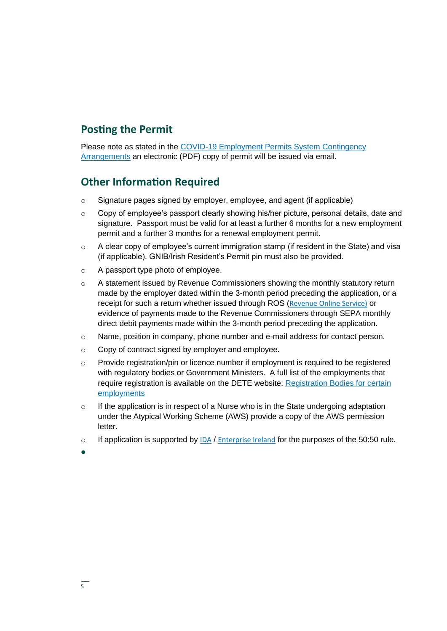### **Posting the Permit**

Please note as stated in the [COVID-19 Employment Permits System Contingency](https://enterprise.gov.ie/en/Publications/Publication-files/COVID-19-Employment-Permits-System-Contingency-Arrangements.pdf)  [Arrangements](https://enterprise.gov.ie/en/Publications/Publication-files/COVID-19-Employment-Permits-System-Contingency-Arrangements.pdf) an electronic (PDF) copy of permit will be issued via email.

### **Other Information Required**

- o Signature pages signed by employer, employee, and agent (if applicable)
- o Copy of employee's passport clearly showing his/her picture, personal details, date and signature. Passport must be valid for at least a further 6 months for a new employment permit and a further 3 months for a renewal employment permit.
- $\circ$  A clear copy of employee's current immigration stamp (if resident in the State) and visa (if applicable). GNIB/Irish Resident's Permit pin must also be provided.
- o A passport type photo of employee.
- o A statement issued by Revenue Commissioners showing the monthly statutory return made by the employer dated within the 3-month period preceding the application, or a receipt for such a return whether issued through ROS ([Revenue Online Service\)](https://www.ros.ie/oidc/login/noCertsFound?lang=en&client_id=rosint_rp) or evidence of payments made to the Revenue Commissioners through SEPA monthly direct debit payments made within the 3-month period preceding the application.
- $\circ$  Name, position in company, phone number and e-mail address for contact person.
- o Copy of contract signed by employer and employee.
- o Provide registration/pin or licence number if employment is required to be registered with regulatory bodies or Government Ministers. A full list of the employments that require registration is available on the DETE website: [Registration Bodies for certain](https://www.enterprise.gov.ie/en/What-We-Do/Workplace-and-Skills/Employment-Permits/Employment-Permit-Eligibility/Registration-bodies-for-certain-employments/)  [employments](https://www.enterprise.gov.ie/en/What-We-Do/Workplace-and-Skills/Employment-Permits/Employment-Permit-Eligibility/Registration-bodies-for-certain-employments/)
- $\circ$  If the application is in respect of a Nurse who is in the State undergoing adaptation under the Atypical Working Scheme (AWS) provide a copy of the AWS permission letter.
- $\circ$  If application is supported by [IDA](https://www.idaireland.com/) / [Enterprise Ireland](https://www.enterprise-ireland.com/en/) for the purposes of the 50:50 rule.
- •